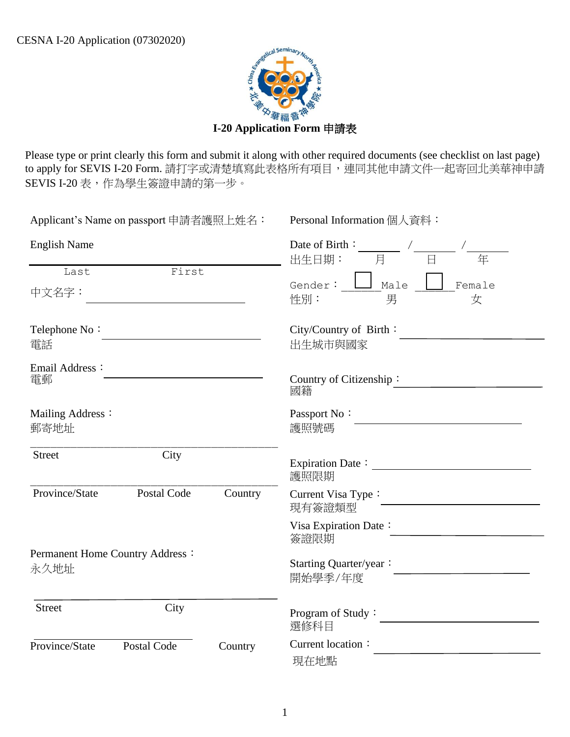

 Please type or print clearly this form and submit it along with other required documents (see checklist on last page) to apply for SEVIS I-20 Form. 請打字或清楚填寫此表格所有項目,連同其他申請文件一起寄回北美華神申請 SEVIS I-20 表,作為學生簽證申請的第一步。

| Applicant's Name on passport 申請者護照上姓名: |                                 |         | Personal Information 個人資料:                                                                                              |  |  |
|----------------------------------------|---------------------------------|---------|-------------------------------------------------------------------------------------------------------------------------|--|--|
| <b>English Name</b>                    |                                 |         | Date of Birth : $\frac{\phantom{+}}{\phantom{+}}$ / $\frac{\phantom{+}}{\phantom{+}}$<br>出生日期 :    月    日<br>出生日期:<br>年 |  |  |
| Last                                   | First                           |         |                                                                                                                         |  |  |
| 中文名字:                                  |                                 |         | Gender: $\boxed{\phantom{a}}$ Male $\boxed{\phantom{a}}$ Female<br>性別:<br>男<br>女                                        |  |  |
| Telephone No:<br>電話                    |                                 |         | City/Country of Birth:<br>出生城市與國家                                                                                       |  |  |
| Email Address:<br>電郵                   |                                 |         | Country of Citizenship:<br>國籍                                                                                           |  |  |
| Mailing Address:<br>郵寄地址               |                                 |         | Passport No:<br>護照號碼                                                                                                    |  |  |
| Street                                 | City                            |         | 護照限期                                                                                                                    |  |  |
| Province/State                         | <b>Postal Code</b>              | Country | Current Visa Type:<br>現有簽證類型                                                                                            |  |  |
|                                        |                                 |         | Visa Expiration Date:<br>簽證限期                                                                                           |  |  |
| 永久地址                                   | Permanent Home Country Address: |         | Starting Quarter/year:<br>開始學季/年度                                                                                       |  |  |
| <b>Street</b>                          | City                            |         | Program of Study:<br>選修科目                                                                                               |  |  |
| Province/State                         | Postal Code                     | Country | Current location:<br>現在地點                                                                                               |  |  |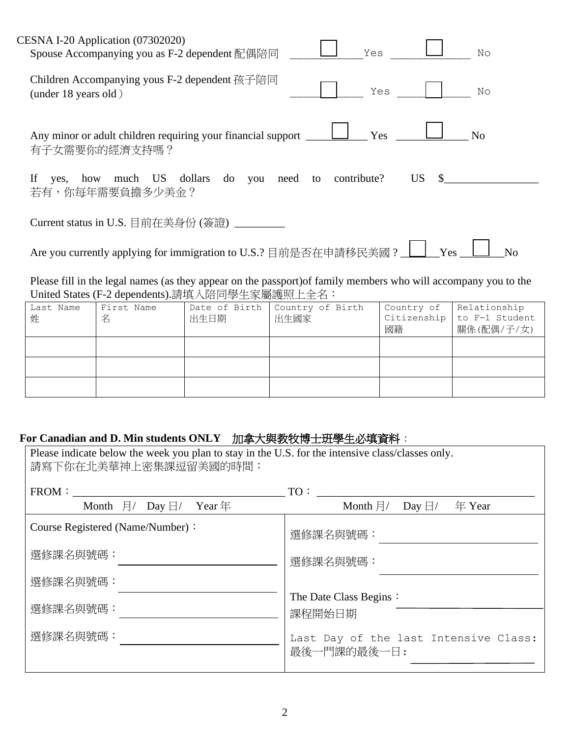| CESNA I-20 Application (07302020)<br>Yes<br>$\mathbb{N} \circ$<br>Spouse Accompanying you as F-2 dependent 配偶陪同 |
|-----------------------------------------------------------------------------------------------------------------|
| Children Accompanying yous F-2 dependent 孩子陪同<br>Yes<br>$\mathbb{N} \circ$<br>(under $18$ years old)            |
| Yes<br>Any minor or adult children requiring your financial support<br>N <sub>o</sub><br>有子女需要你的經濟支持嗎?          |
| US —<br>yes, how much US dollars do you need to contribute?<br>$\mathbb{S}$<br>If<br>若有,你每年需要負擔多少美金?            |
| Current status in U.S. 目前在美身份 (簽證) ________                                                                     |
| Are you currently applying for immigration to U.S.? 目前是否在申請移民美國 ? _ L__<br>Yes<br>N <sub>o</sub>                |
| Please fill in the legal names (as they annear on the nassport) of family members who will accompany you to the |

Please fill in the legal names (as they appear on the passport)of family members who will accompany you to the United States (F-2 dependents).請填入陪同學生家屬護照上全名:

| Last Name<br>姓 | First Name<br>名 | Date of Birth<br>出生日期 | Country of Birth<br>出生國家 | Country of<br>國籍 | Relationship<br>Citizenship $\vert$ to F-1 Student<br>關係(配偶/子/女) |
|----------------|-----------------|-----------------------|--------------------------|------------------|------------------------------------------------------------------|
|                |                 |                       |                          |                  |                                                                  |
|                |                 |                       |                          |                  |                                                                  |
|                |                 |                       |                          |                  |                                                                  |

# **For Canadian and D. Min students ONLY** 加拿大與教牧博士班學生必填資料:

| Please indicate below the week you plan to stay in the U.S. for the intensive class/classes only.<br>請寫下你在北美華神上密集課逗留美國的時間: |                                                                |  |  |  |  |
|----------------------------------------------------------------------------------------------------------------------------|----------------------------------------------------------------|--|--|--|--|
| FROM:<br>Month $\overline{H}$ Day $\overline{H}$ Year $\overline{H}$                                                       | TO:<br>Month $\exists$ / Day $\exists$ /<br>年 Year             |  |  |  |  |
| Course Registered (Name/Number):<br>選修課名與號碼:<br>選修課名與號碼:                                                                   | 選修課名與號碼:<br>選修課名與號碼:<br>The Date Class Begins:                 |  |  |  |  |
| 選修課名與號碼:<br>選修課名與號碼:                                                                                                       | 課程開始日期<br>Last Day of the last Intensive Class:<br>最後一門課的最後一日: |  |  |  |  |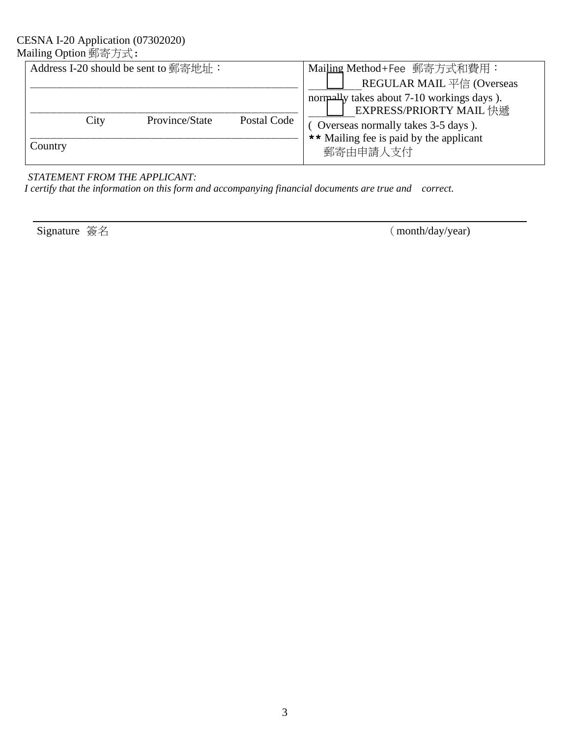#### CESNA I-20 Application (07302020) Mailing Option 郵寄方式:

|         |      | Address I-20 should be sent to 郵寄地址: |             | Mailing Method+Fee 郵寄方式和費用:                |
|---------|------|--------------------------------------|-------------|--------------------------------------------|
|         |      |                                      |             | REGULAR MAIL 平信 (Overseas                  |
|         |      |                                      |             | normally takes about 7-10 workings days ). |
|         |      |                                      |             | <b>EXPRESS/PRIORTY MAIL</b> 快遞             |
|         | City | Province/State                       | Postal Code | Overseas normally takes 3-5 days).         |
|         |      |                                      |             | ** Mailing fee is paid by the applicant    |
| Country |      |                                      |             | 郵寄由申請人支付                                   |
|         |      |                                      |             |                                            |

### *STATEMENT FROM THE APPLICANT:*

 *I certify that the information on this form and accompanying financial documents are true and correct.* 

Signature 簽名 (month/day/year)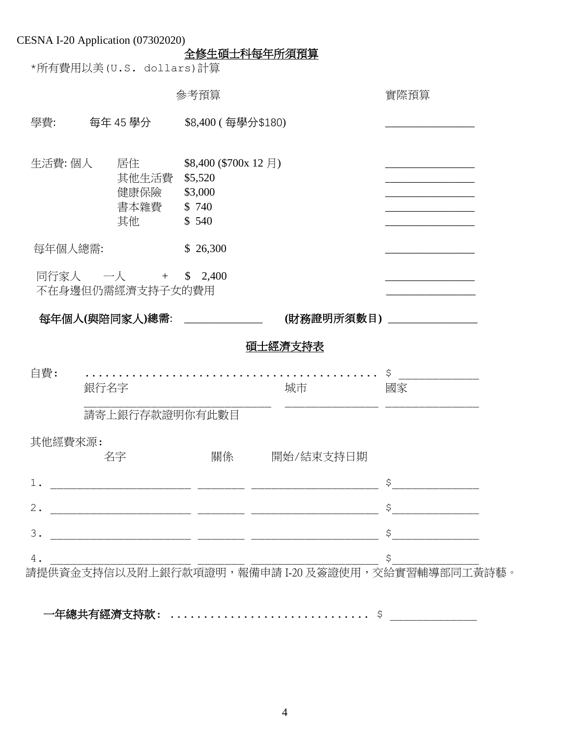|         |         |                       | 參考預算                          |                                                                                                                      | 實際預算                                                                                                                                                                                                                                                                                                                                                |
|---------|---------|-----------------------|-------------------------------|----------------------------------------------------------------------------------------------------------------------|-----------------------------------------------------------------------------------------------------------------------------------------------------------------------------------------------------------------------------------------------------------------------------------------------------------------------------------------------------|
| 學費:     |         | 每年 45 學分 しんじょう        | \$8,400 (每學分\$180)            |                                                                                                                      |                                                                                                                                                                                                                                                                                                                                                     |
|         |         |                       |                               |                                                                                                                      |                                                                                                                                                                                                                                                                                                                                                     |
| 生活費: 個人 |         | 居住                    | $$8,400$ (\$700x 12 月)        |                                                                                                                      |                                                                                                                                                                                                                                                                                                                                                     |
|         |         | 其他生活費 \$5,520<br>健康保險 | \$3,000                       |                                                                                                                      |                                                                                                                                                                                                                                                                                                                                                     |
|         |         | 書本雜費 \$740            |                               |                                                                                                                      |                                                                                                                                                                                                                                                                                                                                                     |
|         |         | 其他                    | \$540                         |                                                                                                                      |                                                                                                                                                                                                                                                                                                                                                     |
|         | 每年個人總需: |                       | \$26,300                      |                                                                                                                      |                                                                                                                                                                                                                                                                                                                                                     |
|         |         | 同行家人 一人 + \$ 2,400    |                               |                                                                                                                      |                                                                                                                                                                                                                                                                                                                                                     |
|         |         | 不在身邊但仍需經濟支持子女的費用      |                               |                                                                                                                      |                                                                                                                                                                                                                                                                                                                                                     |
|         |         |                       | 每年個人(與陪同家人)總需: ______________ |                                                                                                                      | (財務證明所須數目) _______________                                                                                                                                                                                                                                                                                                                          |
|         |         |                       |                               | 碩士經濟支持表                                                                                                              |                                                                                                                                                                                                                                                                                                                                                     |
| 自費:     | 銀行名字    |                       |                               | 城市                                                                                                                   | \$<br>國家                                                                                                                                                                                                                                                                                                                                            |
|         |         | 請寄上銀行存款證明你有此數目        |                               |                                                                                                                      |                                                                                                                                                                                                                                                                                                                                                     |
| 其他經費來源: |         |                       |                               |                                                                                                                      |                                                                                                                                                                                                                                                                                                                                                     |
|         |         | 名字                    | 關係                            | 開始/結束支持日期                                                                                                            |                                                                                                                                                                                                                                                                                                                                                     |
|         |         |                       |                               |                                                                                                                      | $\begin{picture}(20,10) \put(0,0){\line(1,0){10}} \put(15,0){\line(1,0){10}} \put(15,0){\line(1,0){10}} \put(15,0){\line(1,0){10}} \put(15,0){\line(1,0){10}} \put(15,0){\line(1,0){10}} \put(15,0){\line(1,0){10}} \put(15,0){\line(1,0){10}} \put(15,0){\line(1,0){10}} \put(15,0){\line(1,0){10}} \put(15,0){\line(1,0){10}} \put(15,0){\line(1$ |
| $2$ .   |         |                       |                               | <u> 2000 - 2000 - 2000 - 2000 - 2000 - 2000 - 2000 - 2000 - 2000 - 2000 - 2000 - 2000 - 2000 - 2000 - 2000 - 200</u> | $\begin{array}{c}\n\updownarrow \\ \hline\n\end{array}$                                                                                                                                                                                                                                                                                             |
| 3.      |         |                       |                               |                                                                                                                      | $\begin{array}{c}\n\updownarrow \\ \downarrow \\ \hline\n\end{array}$                                                                                                                                                                                                                                                                               |

一年總共有經濟支持款: .............................. \$ \_\_\_\_\_\_\_\_\_\_\_\_\_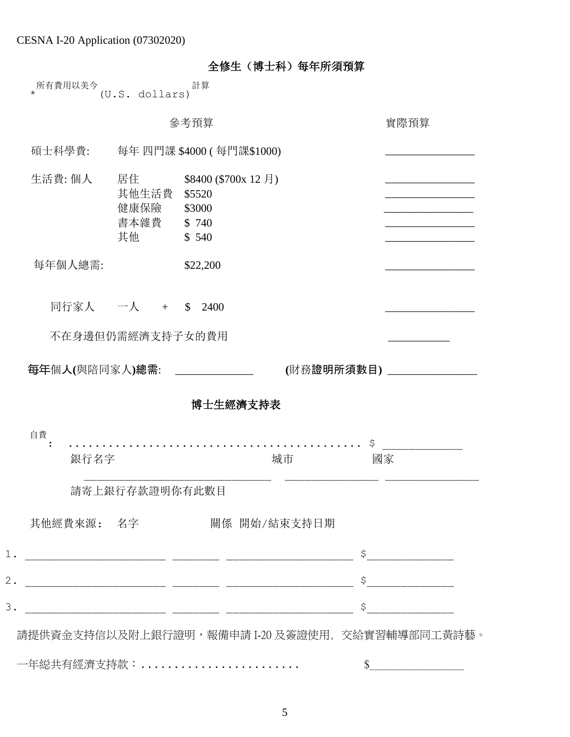|  | 全修生 (博士科) 每年所須預算 |
|--|------------------|
|  |                  |

| 所有費用以美今 |                | 計算 |
|---------|----------------|----|
|         | (U.S. dollars) |    |

|                              |                                         | 參考預算                                                                                                                  | 實際預算                                                                  |
|------------------------------|-----------------------------------------|-----------------------------------------------------------------------------------------------------------------------|-----------------------------------------------------------------------|
| 碩士科學費:                       |                                         | 每年 四門課 \$4000 ( 每門課\$1000)                                                                                            |                                                                       |
| 生活費: 個人                      | 居住<br>其他生活費<br>健康保險<br>書本雜費 \$740<br>其他 | $$8400$ (\$700x 12 月)<br>\$5520<br>\$3000<br>\$540                                                                    |                                                                       |
| 每年個人總需:                      |                                         | \$22,200                                                                                                              |                                                                       |
|                              | 同行家人 一人 +                               | \$2400                                                                                                                |                                                                       |
|                              | 不在身邊但仍需經濟支持子女的費用                        |                                                                                                                       |                                                                       |
|                              |                                         |                                                                                                                       |                                                                       |
| 每年個人(與陪同家人)總需: _____________ |                                         |                                                                                                                       | (財務證明所須數目) ____________                                               |
|                              |                                         | 博士生經濟支持表                                                                                                              |                                                                       |
| 自費                           |                                         |                                                                                                                       |                                                                       |
| 銀行名字                         |                                         | 城市                                                                                                                    | \$<br>國家                                                              |
|                              | 請寄上銀行存款證明你有此數目                          |                                                                                                                       |                                                                       |
| 其他經費來源: 名字                   |                                         | 關係 開始/結束支持日期                                                                                                          |                                                                       |
|                              |                                         |                                                                                                                       |                                                                       |
|                              |                                         | <u> 2000 - Jan James James James James James James James James James James James James James James James James Ja</u> | $\begin{array}{c}\n\updownarrow \\ \downarrow \\ \hline\n\end{array}$ |
|                              |                                         |                                                                                                                       |                                                                       |